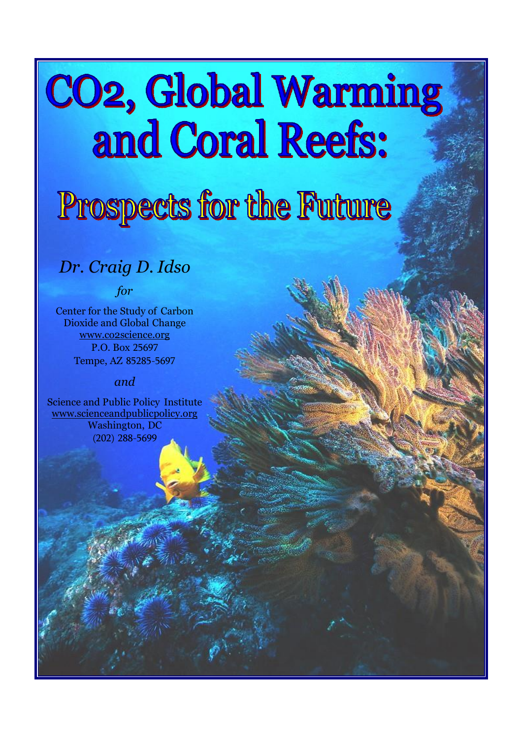# **CO2, Global Warming** and Coral Reefs:

# Prospects for the Future

# *Dr. Craig D. Idso*

*for*

Center for the Study of Carbon Dioxide and Global Change [www.co2science.org](http://www.co2science.org/) P.O. Box 25697 Tempe, AZ 85285-5697

#### *and*

Science and Public Policy Institute [www.scienceandpublicpolicy.org](http://www.scienceandpublicpolicy.org/) Washington, DC (202) 288-5699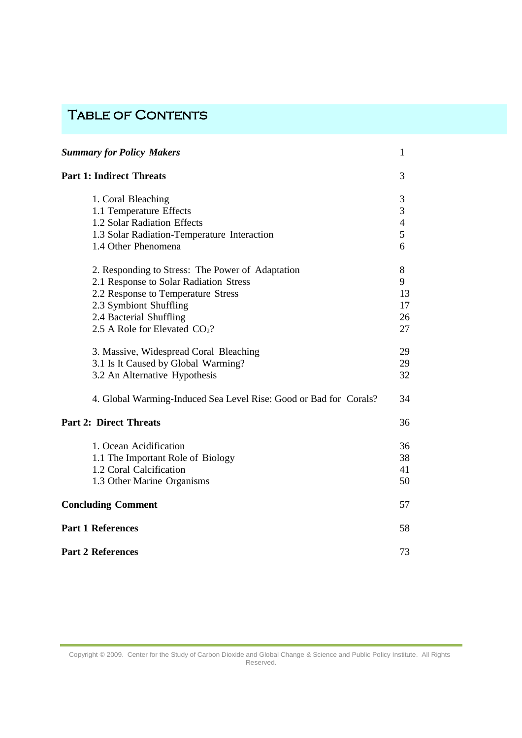# TABLE OF CONTENTS

| <b>Summary for Policy Makers</b>                                  | 1              |
|-------------------------------------------------------------------|----------------|
| <b>Part 1: Indirect Threats</b>                                   | 3              |
| 1. Coral Bleaching                                                | 3              |
| 1.1 Temperature Effects                                           | 3              |
| 1.2 Solar Radiation Effects                                       | $\overline{4}$ |
| 1.3 Solar Radiation-Temperature Interaction                       | 5              |
| 1.4 Other Phenomena                                               | 6              |
| 2. Responding to Stress: The Power of Adaptation                  | 8              |
| 2.1 Response to Solar Radiation Stress                            | 9              |
| 2.2 Response to Temperature Stress                                | 13             |
| 2.3 Symbiont Shuffling                                            | 17             |
| 2.4 Bacterial Shuffling                                           | 26             |
| 2.5 A Role for Elevated $CO2$ ?                                   | 27             |
| 3. Massive, Widespread Coral Bleaching                            | 29             |
| 3.1 Is It Caused by Global Warming?                               | 29             |
| 3.2 An Alternative Hypothesis                                     | 32             |
| 4. Global Warming-Induced Sea Level Rise: Good or Bad for Corals? | 34             |
| <b>Part 2: Direct Threats</b>                                     | 36             |
| 1. Ocean Acidification                                            | 36             |
| 1.1 The Important Role of Biology                                 | 38             |
| 1.2 Coral Calcification                                           | 41             |
| 1.3 Other Marine Organisms                                        | 50             |
| <b>Concluding Comment</b>                                         | 57             |
| <b>Part 1 References</b>                                          | 58             |
| <b>Part 2 References</b>                                          | 73             |

Copyright © 2009. Center for the Study of Carbon Dioxide and Global Change & Science and Public Policy Institute. All Rights Reserved.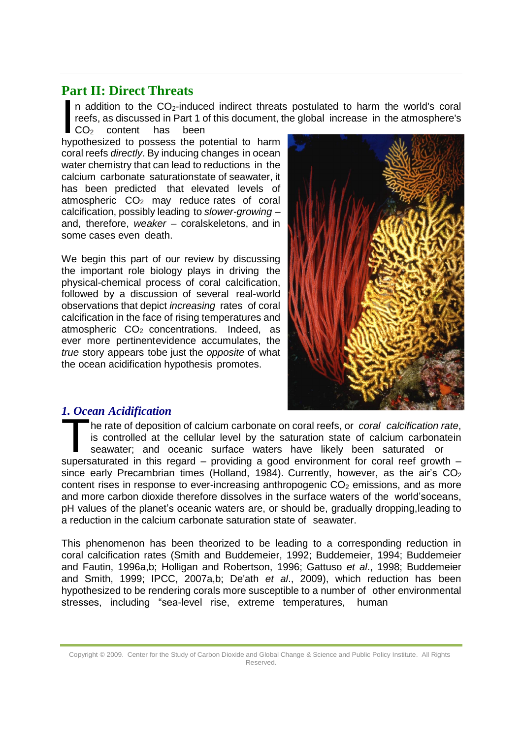## **Part II: Direct Threats**

In addition to the CO<sub>2</sub>-induced indirect thream<br>reefs, as discussed in Part 1 of this document,<br> $CO<sub>2</sub>$  content has been<br>hypothesized to possess the potential to harm n addition to the CO2-induced indirect threats postulated to harm the world's coral reefs, as discussed in Part 1 of this document, the global increase in the atmosphere's CO<sub>2</sub> content has been

coral reefs *directly*. By inducing changes in ocean water chemistry that can lead to reductions in the calcium carbonate saturationstate of seawater, it has been predicted that elevated levels of atmospheric  $CO<sub>2</sub>$  may reduce rates of coral calcification, possibly leading to *slower-growing* – and, therefore, *weaker* – coralskeletons, and in some cases even death.

We begin this part of our review by discussing the important role biology plays in driving the physical-chemical process of coral calcification, followed by a discussion of several real-world observations that depict *increasing* rates of coral calcification in the face of rising temperatures and atmospheric  $CO<sub>2</sub>$  concentrations. Indeed, as ever more pertinentevidence accumulates, the *true* story appears tobe just the *opposite* of what the ocean acidification hypothesis promotes.



#### <span id="page-2-0"></span>*1. Ocean Acidification*

The rate of deposition of calcium carbonate on coral reefs, or coral calcification rate, is controlled at the cellular level by the saturation state of calcium carbonatein seawater; and oceanic surface waters have likely b he rate of deposition of calcium carbonate on coral reefs, or *coral calcification rate*, is controlled at the cellular level by the saturation state of calcium carbonatein seawater; and oceanic surface waters have likely been saturated or since early Precambrian times (Holland, 1984). Currently, however, as the air's  $CO<sub>2</sub>$ content rises in response to ever-increasing anthropogenic  $CO<sub>2</sub>$  emissions, and as more and more carbon dioxide therefore dissolves in the surface waters of the world'soceans, pH values of the planet's oceanic waters are, or should be, gradually dropping,leading to a reduction in the calcium carbonate saturation state of seawater.

This phenomenon has been theorized to be leading to a corresponding reduction in coral calcification rates (Smith and Buddemeier, 1992; Buddemeier, 1994; Buddemeier and Fautin, 1996a,b; Holligan and Robertson, 1996; Gattuso *et al*., 1998; Buddemeier and Smith, 1999; IPCC, 2007a,b; De'ath *et al*., 2009), which reduction has been hypothesized to be rendering corals more susceptible to a number of other environmental stresses, including "sea-level rise, extreme temperatures, human

Copyright © 2009. Center for the Study of Carbon Dioxide and Global Change & Science and Public Policy Institute. All Rights Reserved.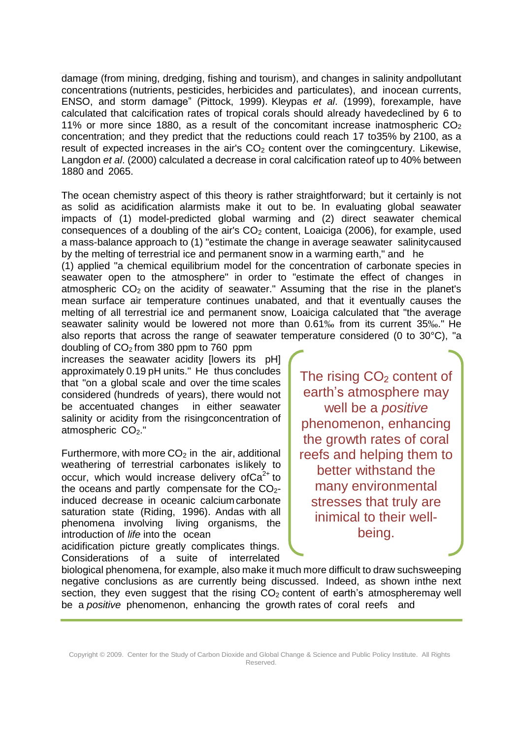damage (from mining, dredging, fishing and tourism), and changes in salinity andpollutant concentrations (nutrients, pesticides, herbicides and particulates), and inocean currents, ENSO, and storm damage" (Pittock, 1999). Kleypas *et al*. (1999), forexample, have calculated that calcification rates of tropical corals should already havedeclined by 6 to 11% or more since 1880, as a result of the concomitant increase inatmospheric  $CO<sub>2</sub>$ concentration; and they predict that the reductions could reach 17 to35% by 2100, as a result of expected increases in the air's  $CO<sub>2</sub>$  content over the comingcentury. Likewise, Langdon *et al*. (2000) calculated a decrease in coral calcification rateof up to 40% between 1880 and 2065.

The ocean chemistry aspect of this theory is rather straightforward; but it certainly is not as solid as acidification alarmists make it out to be. In evaluating global seawater impacts of (1) model-predicted global warming and (2) direct seawater chemical consequences of a doubling of the air's  $CO<sub>2</sub>$  content, Loaiciga (2006), for example, used a mass-balance approach to (1) "estimate the change in average seawater salinitycaused by the melting of terrestrial ice and permanent snow in a warming earth," and he

(1) applied "a chemical equilibrium model for the concentration of carbonate species in seawater open to the atmosphere" in order to "estimate the effect of changes in atmospheric  $CO<sub>2</sub>$  on the acidity of seawater." Assuming that the rise in the planet's mean surface air temperature continues unabated, and that it eventually causes the melting of all terrestrial ice and permanent snow, Loaiciga calculated that "the average seawater salinity would be lowered not more than 0.61‰ from its current 35‰." He also reports that across the range of seawater temperature considered (0 to 30°C), "a

doubling of CO2 from 380 ppm to 760 ppm increases the seawater acidity [lowers its pH] approximately 0.19 pH units." He thus concludes that "on a global scale and over the time scales considered (hundreds of years), there would not be accentuated changes in either seawater salinity or acidity from the risingconcentration of atmospheric CO2."

Furthermore, with more  $CO<sub>2</sub>$  in the air, additional weathering of terrestrial carbonates islikely to occur, which would increase delivery of  $Ca^{2+}$  to the oceans and partly compensate for the  $CO<sub>2</sub>$ induced decrease in oceanic calcium carbonate saturation state (Riding, 1996). Andas with all phenomena involving living organisms, the introduction of *life* into the ocean

acidification picture greatly complicates things. Considerations of a suite of interrelated The rising  $CO<sub>2</sub>$  content of earth's atmosphere may well be a *positive*  phenomenon, enhancing the growth rates of coral reefs and helping them to better withstand the many environmental stresses that truly are inimical to their wellbeing.

biological phenomena, for example, also make it much more difficult to draw suchsweeping negative conclusions as are currently being discussed. Indeed, as shown inthe next section, they even suggest that the rising  $CO<sub>2</sub>$  content of earth's atmospheremay well be a *positive* phenomenon, enhancing the growth rates of coral reefs and

Copyright © 2009. Center for the Study of Carbon Dioxide and Global Change & Science and Public Policy Institute. All Rights Reserved.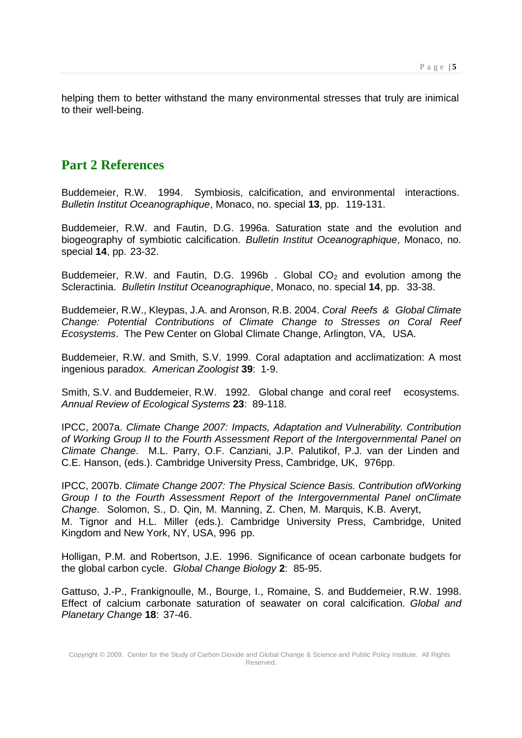helping them to better withstand the many environmental stresses that truly are inimical to their well-being.

### <span id="page-4-0"></span>**Part 2 References**

Buddemeier, R.W. 1994. Symbiosis, calcification, and environmental interactions. *Bulletin Institut Oceanographique*, Monaco, no. special **13**, pp. 119-131.

Buddemeier, R.W. and Fautin, D.G. 1996a. Saturation state and the evolution and biogeography of symbiotic calcification. *Bulletin Institut Oceanographique*, Monaco, no. special **14**, pp. 23-32.

Buddemeier, R.W. and Fautin, D.G. 1996b . Global  $CO<sub>2</sub>$  and evolution among the Scleractinia. *Bulletin Institut Oceanographique*, Monaco, no. special **14**, pp. 33-38.

Buddemeier, R.W., Kleypas, J.A. and Aronson, R.B. 2004. *Coral Reefs & Global Climate Change: Potential Contributions of Climate Change to Stresses on Coral Reef Ecosystems*. The Pew Center on Global Climate Change, Arlington, VA, USA.

Buddemeier, R.W. and Smith, S.V. 1999. Coral adaptation and acclimatization: A most ingenious paradox. *American Zoologist* **39**: 1-9.

Smith, S.V. and Buddemeier, R.W. 1992. Global change and coral reef ecosystems. *Annual Review of Ecological Systems* **23**: 89-118.

IPCC, 2007a. *Climate Change 2007: Impacts, Adaptation and Vulnerability. Contribution of Working Group II to the Fourth Assessment Report of the Intergovernmental Panel on Climate Change*. M.L. Parry, O.F. Canziani, J.P. Palutikof, P.J. van der Linden and C.E. Hanson, (eds.). Cambridge University Press, Cambridge, UK, 976pp.

IPCC, 2007b. *Climate Change 2007: The Physical Science Basis. Contribution ofWorking Group I to the Fourth Assessment Report of the Intergovernmental Panel onClimate Change*. Solomon, S., D. Qin, M. Manning, Z. Chen, M. Marquis, K.B. Averyt, M. Tignor and H.L. Miller (eds.). Cambridge University Press, Cambridge, United Kingdom and New York, NY, USA, 996 pp.

Holligan, P.M. and Robertson, J.E. 1996. Significance of ocean carbonate budgets for the global carbon cycle. *Global Change Biology* **2**: 85-95.

Gattuso, J.-P., Frankignoulle, M., Bourge, I., Romaine, S. and Buddemeier, R.W. 1998. Effect of calcium carbonate saturation of seawater on coral calcification. *Global and Planetary Change* **18**: 37-46.